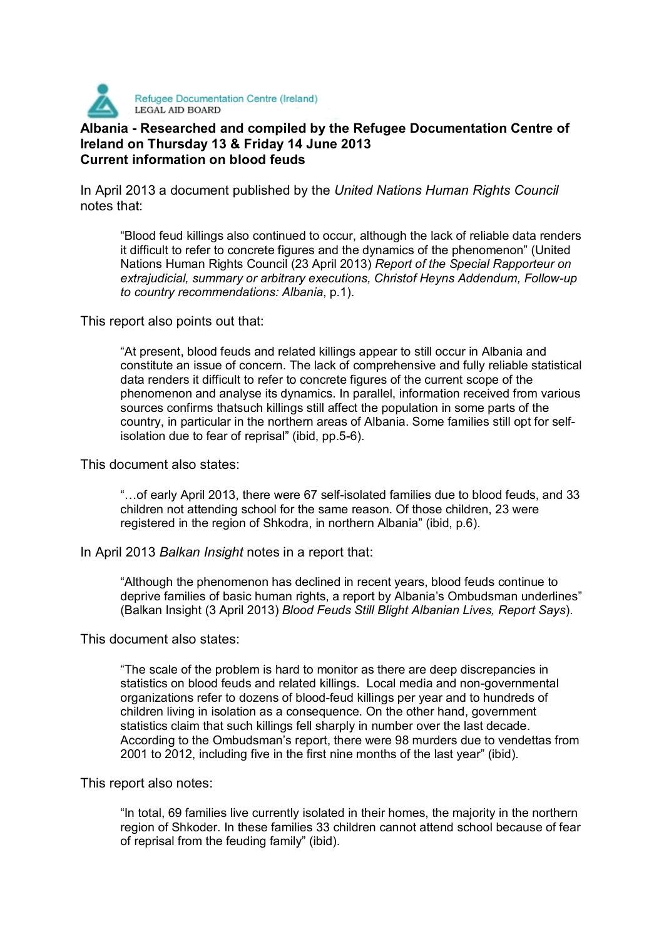

## **Albania - Researched and compiled by the Refugee Documentation Centre of Ireland on Thursday 13 & Friday 14 June 2013 Current information on blood feuds**

In April 2013 a document published by the *United Nations Human Rights Council*  notes that:

"Blood feud killings also continued to occur, although the lack of reliable data renders it difficult to refer to concrete figures and the dynamics of the phenomenon" (United Nations Human Rights Council (23 April 2013) *Report of the Special Rapporteur on extrajudicial, summary or arbitrary executions, Christof Heyns Addendum, Follow-up to country recommendations: Albania*, p.1).

This report also points out that:

"At present, blood feuds and related killings appear to still occur in Albania and constitute an issue of concern. The lack of comprehensive and fully reliable statistical data renders it difficult to refer to concrete figures of the current scope of the phenomenon and analyse its dynamics. In parallel, information received from various sources confirms thatsuch killings still affect the population in some parts of the country, in particular in the northern areas of Albania. Some families still opt for selfisolation due to fear of reprisal" (ibid, pp.5-6).

This document also states:

"…of early April 2013, there were 67 self-isolated families due to blood feuds, and 33 children not attending school for the same reason. Of those children, 23 were registered in the region of Shkodra, in northern Albania" (ibid, p.6).

In April 2013 *Balkan Insight* notes in a report that:

"Although the phenomenon has declined in recent years, blood feuds continue to deprive families of basic human rights, a report by Albania's Ombudsman underlines" (Balkan Insight (3 April 2013) *Blood Feuds Still Blight Albanian Lives, Report Says*).

This document also states:

"The scale of the problem is hard to monitor as there are deep discrepancies in statistics on blood feuds and related killings. Local media and non-governmental organizations refer to dozens of blood-feud killings per year and to hundreds of children living in isolation as a consequence. On the other hand, government statistics claim that such killings fell sharply in number over the last decade. According to the Ombudsman's report, there were 98 murders due to vendettas from 2001 to 2012, including five in the first nine months of the last year" (ibid).

This report also notes:

"In total, 69 families live currently isolated in their homes, the majority in the northern region of Shkoder. In these families 33 children cannot attend school because of fear of reprisal from the feuding family" (ibid).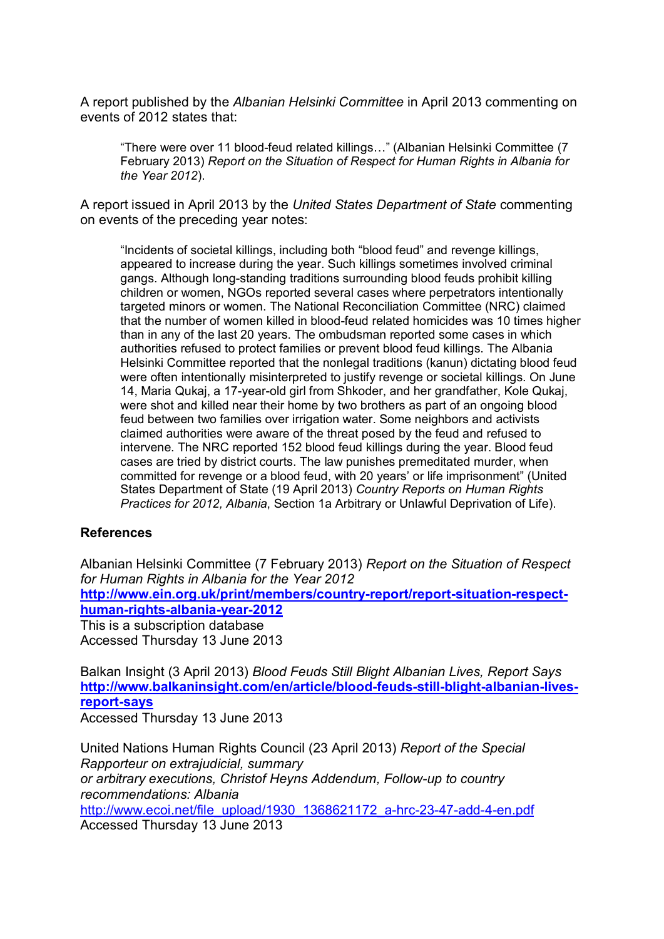A report published by the *Albanian Helsinki Committee* in April 2013 commenting on events of 2012 states that:

"There were over 11 blood-feud related killings…" (Albanian Helsinki Committee (7 February 2013) *Report on the Situation of Respect for Human Rights in Albania for the Year 2012*).

A report issued in April 2013 by the *United States Department of State* commenting on events of the preceding year notes:

"Incidents of societal killings, including both "blood feud" and revenge killings, appeared to increase during the year. Such killings sometimes involved criminal gangs. Although long-standing traditions surrounding blood feuds prohibit killing children or women, NGOs reported several cases where perpetrators intentionally targeted minors or women. The National Reconciliation Committee (NRC) claimed that the number of women killed in blood-feud related homicides was 10 times higher than in any of the last 20 years. The ombudsman reported some cases in which authorities refused to protect families or prevent blood feud killings. The Albania Helsinki Committee reported that the nonlegal traditions (kanun) dictating blood feud were often intentionally misinterpreted to justify revenge or societal killings. On June 14, Maria Qukaj, a 17-year-old girl from Shkoder, and her grandfather, Kole Qukaj, were shot and killed near their home by two brothers as part of an ongoing blood feud between two families over irrigation water. Some neighbors and activists claimed authorities were aware of the threat posed by the feud and refused to intervene. The NRC reported 152 blood feud killings during the year. Blood feud cases are tried by district courts. The law punishes premeditated murder, when committed for revenge or a blood feud, with 20 years' or life imprisonment" (United States Department of State (19 April 2013) *Country Reports on Human Rights Practices for 2012, Albania*, Section 1a Arbitrary or Unlawful Deprivation of Life).

## **References**

Albanian Helsinki Committee (7 February 2013) *Report on the Situation of Respect for Human Rights in Albania for the Year 2012*  **http://www.ein.org.uk/print/members/country-report/report-situation-respecthuman-rights-albania-year-2012** This is a subscription database Accessed Thursday 13 June 2013

Balkan Insight (3 April 2013) *Blood Feuds Still Blight Albanian Lives, Report Says*  **http://www.balkaninsight.com/en/article/blood-feuds-still-blight-albanian-livesreport-says**

Accessed Thursday 13 June 2013

United Nations Human Rights Council (23 April 2013) *Report of the Special Rapporteur on extrajudicial, summary or arbitrary executions, Christof Heyns Addendum, Follow-up to country recommendations: Albania*  http://www.ecoi.net/file\_upload/1930\_1368621172\_a-hrc-23-47-add-4-en.pdf Accessed Thursday 13 June 2013